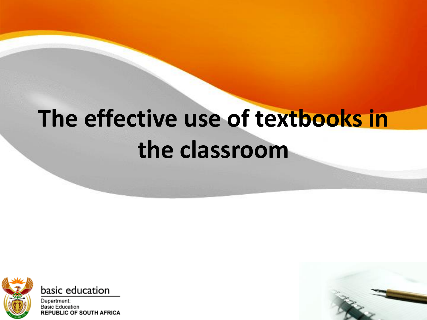# **The effective use of textbooks in the classroom**





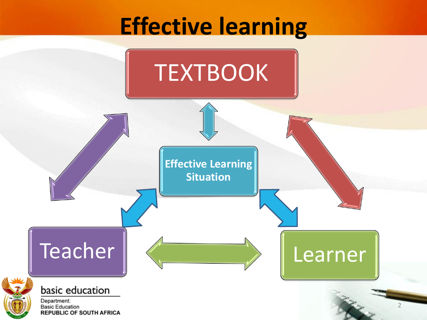#### **Effective learning**

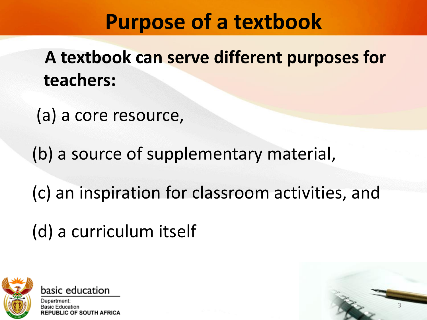#### **Purpose of a textbook**

- **A textbook can serve different purposes for teachers:**
- (a) a core resource,
- (b) a source of supplementary material,
- (c) an inspiration for classroom activities, and
- (d) a curriculum itself





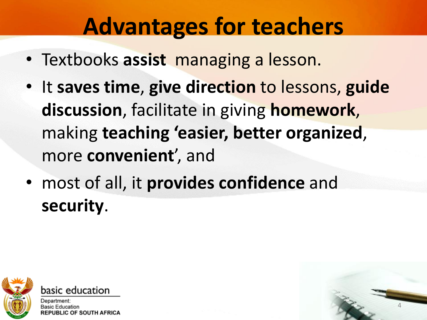### **Advantages for teachers**

- Textbooks **assist** managing a lesson.
- It **saves time**, **give direction** to lessons, **guide discussion**, facilitate in giving **homework**, making **teaching 'easier, better organized**, more **convenient**', and
- most of all, it **provides confidence** and **security**.





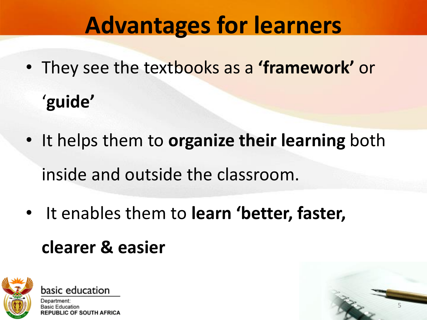## **Advantages for learners**

- They see the textbooks as a **'framework'** or '**guide'**
- It helps them to **organize their learning** both inside and outside the classroom.
- It enables them to **learn 'better, faster, clearer & easier**



basic education

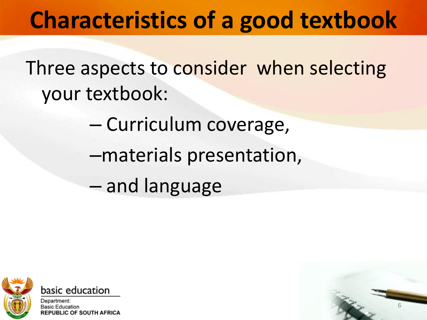### **Characteristics of a good textbook**

Three aspects to consider when selecting your textbook:

– Curriculum coverage,

–materials presentation,

– and language





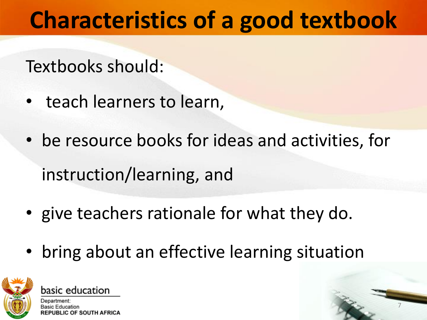### **Characteristics of a good textbook**

Textbooks should:

- teach learners to learn,
- be resource books for ideas and activities, for instruction/learning, and
- give teachers rationale for what they do.
- bring about an effective learning situation

7



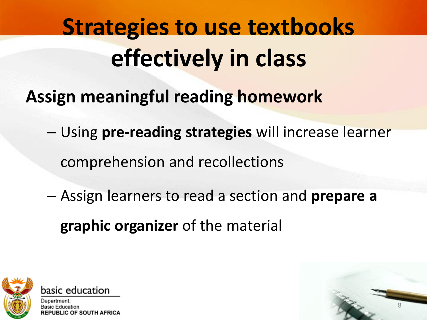- **Assign meaningful reading homework**
	- Using **pre-reading strategies** will increase learner comprehension and recollections
	- Assign learners to read a section and **prepare a**

**graphic organizer** of the material





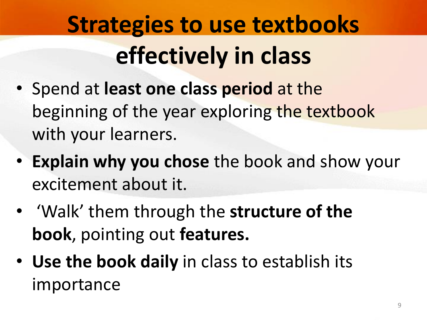- Spend at **least one class period** at the beginning of the year exploring the textbook with your learners.
- **Explain why you chose** the book and show your excitement about it.
- 'Walk' them through the **structure of the book**, pointing out **features.**
- **Use the book daily** in class to establish its importance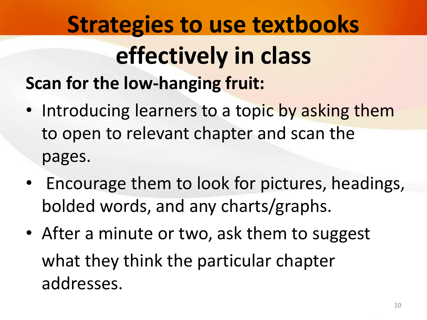## **Strategies to use textbooks effectively in class Scan for the low-hanging fruit:**

- Introducing learners to a topic by asking them to open to relevant chapter and scan the pages.
- Encourage them to look for pictures, headings, bolded words, and any charts/graphs.
- After a minute or two, ask them to suggest what they think the particular chapter addresses.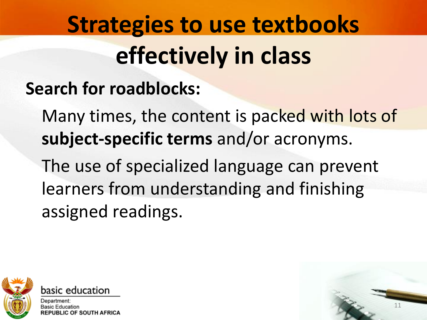#### **Search for roadblocks:**

Many times, the content is packed with lots of **subject-specific terms** and/or acronyms.

The use of specialized language can prevent learners from understanding and finishing assigned readings.





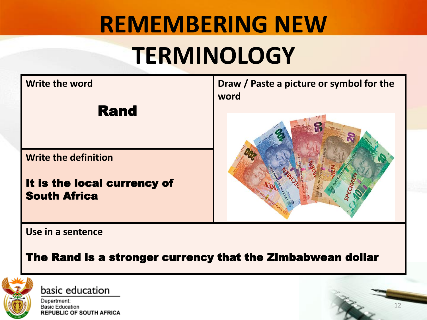# **REMEMBERING NEW TERMINOLOGY**



**Use in a sentence**

The Rand is a stronger currency that the Zimbabwean dollar



basic education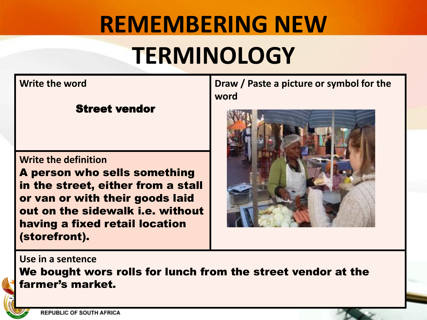# **REMEMBERING NEW TERMINOLOGY**

**Write the word** 

#### Street vendor

**Write the definition**

A person who sells something in the street, either from a stall or van or with their goods laid out on the sidewalk i.e. without having a fixed retail location (storefront).

**Draw / Paste a picture or symbol for the word**



13

#### **Use in a sentence**

We bought wors rolls for lunch from the street vendor at the farmer's market.